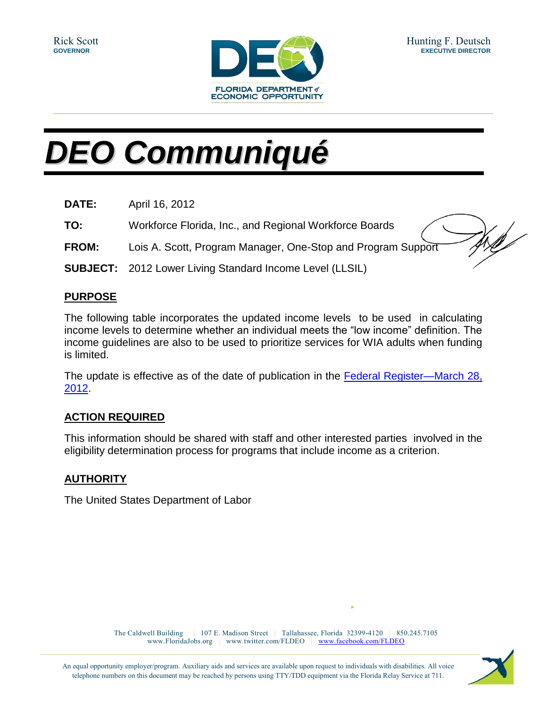

## *DEO Communiqué*

| <b>DATE:</b> | April 16, 2012                                                  |
|--------------|-----------------------------------------------------------------|
| TO:          | Workforce Florida, Inc., and Regional Workforce Boards          |
| <b>FROM:</b> | Lois A. Scott, Program Manager, One-Stop and Program Support    |
|              | <b>SUBJECT:</b> 2012 Lower Living Standard Income Level (LLSIL) |

## **PURPOSE**

The following table incorporates the updated income levels to be used in calculating income levels to determine whether an individual meets the "low income" definition. The income guidelines are also to be used to prioritize services for WIA adults when funding is limited.

The update is effective as of the date of publication in the [Federal Register—March 28,](http://www.gpo.gov/fdsys/pkg/FR-2012-03-28/pdf/2012-7377.pdf)  [2012.](http://www.gpo.gov/fdsys/pkg/FR-2012-03-28/pdf/2012-7377.pdf)

## **ACTION REQUIRED**

This information should be shared with staff and other interested parties involved in the eligibility determination process for programs that include income as a criterion.

## **AUTHORITY**

The United States Department of Labor

The Caldwell Building | 107 E. Madison Street | Tallahassee, Florida 32399-4120 | 850.245.7105 www.FloridaJobs.org | www.twitter.com/FLDEO | www.facebook.com/FLDEO

An equal opportunity employer/program. Auxiliary aids and services are available upon request to individuals with disabilities. All voice telephone numbers on this document may be reached by persons using TTY/TDD equipment via the Florida Relay Service at 711.